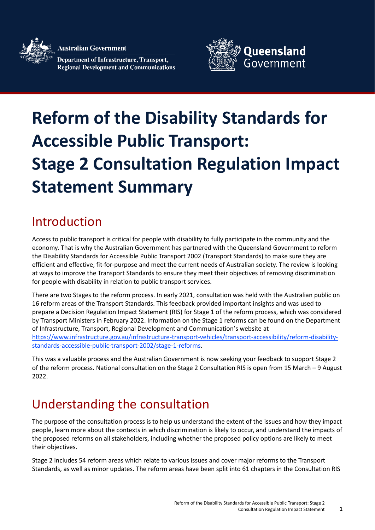Australian Government

**Department of Infrastructure, Transport, Regional Development and Communications** 



# **Reform of the Disability Standards for Accessible Public Transport: Stage 2 Consultation Regulation Impact Statement Summary**

# Introduction

Access to public transport is critical for people with disability to fully participate in the community and the economy. That is why the Australian Government has partnered with the Queensland Government to reform the Disability Standards for Accessible Public Transport 2002 (Transport Standards) to make sure they are efficient and effective, fit-for-purpose and meet the current needs of Australian society. The review is looking at ways to improve the Transport Standards to ensure they meet their objectives of removing discrimination for people with disability in relation to public transport services.

There are two Stages to the reform process. In early 2021, consultation was held with the Australian public on 16 reform areas of the Transport Standards. This feedback provided important insights and was used to prepare a Decision Regulation Impact Statement (RIS) for Stage 1 of the reform process, which was considered by Transport Ministers in February 2022. Information on the Stage 1 reforms can be found on the Department of Infrastructure, Transport, Regional Development and Communication's website at [https://www.infrastructure.gov.au/infrastructure-transport-vehicles/transport-accessibility/reform-disability](https://www.infrastructure.gov.au/infrastructure-transport-vehicles/transport-accessibility/reform-disability-standards-accessible-public-transport-2002/stage-1-reforms)[standards-accessible-public-transport-2002/stage-1-reforms.](https://www.infrastructure.gov.au/infrastructure-transport-vehicles/transport-accessibility/reform-disability-standards-accessible-public-transport-2002/stage-1-reforms)

This was a valuable process and the Australian Government is now seeking your feedback to support Stage 2 of the reform process. National consultation on the Stage 2 Consultation RIS is open from 15 March – 9 August 2022.

# Understanding the consultation

The purpose of the consultation process is to help us understand the extent of the issues and how they impact people, learn more about the contexts in which discrimination is likely to occur, and understand the impacts of the proposed reforms on all stakeholders, including whether the proposed policy options are likely to meet their objectives.

Stage 2 includes 54 reform areas which relate to various issues and cover major reforms to the Transport Standards, as well as minor updates. The reform areas have been split into 61 chapters in the Consultation RIS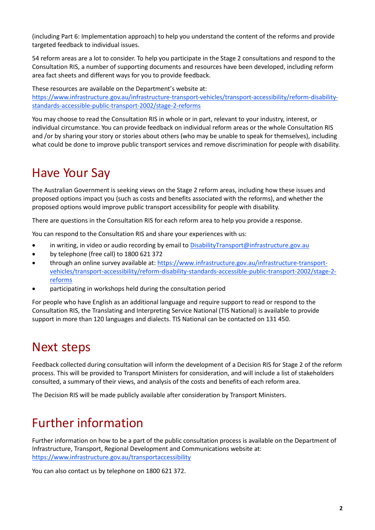(including Part 6: Implementation approach) to help you understand the content of the reforms and provide targeted feedback to individual issues.

54 reform areas are a lot to consider. To help you participate in the Stage 2 consultations and respond to the Consultation RIS, a number of supporting documents and resources have been developed, including reform area fact sheets and different ways for you to provide feedback.

These resources are available on the Department's website at:

[https://www.infrastructure.gov.au/infrastructure-transport-vehicles/transport-accessibility/reform-disability](https://www.infrastructure.gov.au/infrastructure-transport-vehicles/transport-accessibility/reform-disability-standards-accessible-public-transport-2002/stage-2-reforms)[standards-accessible-public-transport-2002/stage-2-reforms](https://www.infrastructure.gov.au/infrastructure-transport-vehicles/transport-accessibility/reform-disability-standards-accessible-public-transport-2002/stage-2-reforms)

You may choose to read the Consultation RIS in whole or in part, relevant to your industry, interest, or individual circumstance. You can provide feedback on individual reform areas or the whole Consultation RIS and /or by sharing your story or stories about others (who may be unable to speak for themselves), including what could be done to improve public transport services and remove discrimination for people with disability.

## Have Your Say

The Australian Government is seeking views on the Stage 2 reform areas, including how these issues and proposed options impact you (such as costs and benefits associated with the reforms), and whether the proposed options would improve public transport accessibility for people with disability.

There are questions in the Consultation RIS for each reform area to help you provide a response.

You can respond to the Consultation RIS and share your experiences with us:

- in writing, in video or audio recording by email to DisabilityTransport@infrastructure.gov.au
- by telephone (free call) to 1800 621 372
- through an online survey available at: [https://www.infrastructure.gov.au/infrastructure-transport](https://www.infrastructure.gov.au/infrastructure-transport-vehicles/transport-accessibility/reform-disability-standards-accessible-public-transport-2002/stage-2-reforms)[vehicles/transport-accessibility/reform-disability-standards-accessible-public-transport-2002/stage-2](https://www.infrastructure.gov.au/infrastructure-transport-vehicles/transport-accessibility/reform-disability-standards-accessible-public-transport-2002/stage-2-reforms) [reforms](https://www.infrastructure.gov.au/infrastructure-transport-vehicles/transport-accessibility/reform-disability-standards-accessible-public-transport-2002/stage-2-reforms)
- participating in workshops held during the consultation period

For people who have English as an additional language and require support to read or respond to the Consultation RIS, the Translating and Interpreting Service National (TIS National) is available to provide support in more than 120 languages and dialects. TIS National can be contacted on 131 450.

## Next steps

Feedback collected during consultation will inform the development of a Decision RIS for Stage 2 of the reform process. This will be provided to Transport Ministers for consideration, and will include a list of stakeholders consulted, a summary of their views, and analysis of the costs and benefits of each reform area.

The Decision RIS will be made publicly available after consideration by Transport Ministers.

## Further information

Further information on how to be a part of the public consultation process is available on the Department of Infrastructure, Transport, Regional Development and Communications website at: <https://www.infrastructure.gov.au/transportaccessibility>

You can also contact us by telephone on 1800 621 372.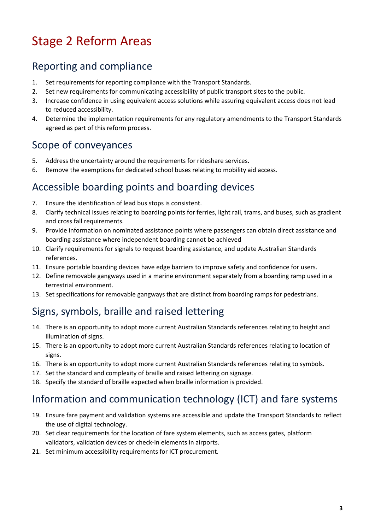# Stage 2 Reform Areas

### Reporting and compliance

- 1. Set requirements for reporting compliance with the Transport Standards.
- 2. Set new requirements for communicating accessibility of public transport sites to the public.
- 3. Increase confidence in using equivalent access solutions while assuring equivalent access does not lead to reduced accessibility.
- 4. Determine the implementation requirements for any regulatory amendments to the Transport Standards agreed as part of this reform process.

#### Scope of conveyances

- 5. Address the uncertainty around the requirements for rideshare services.
- 6. Remove the exemptions for dedicated school buses relating to mobility aid access.

#### Accessible boarding points and boarding devices

- 7. Ensure the identification of lead bus stops is consistent.
- 8. Clarify technical issues relating to boarding points for ferries, light rail, trams, and buses, such as gradient and cross fall requirements.
- 9. Provide information on nominated assistance points where passengers can obtain direct assistance and boarding assistance where independent boarding cannot be achieved
- 10. Clarify requirements for signals to request boarding assistance, and update Australian Standards references.
- 11. Ensure portable boarding devices have edge barriers to improve safety and confidence for users.
- 12. Define removable gangways used in a marine environment separately from a boarding ramp used in a terrestrial environment.
- 13. Set specifications for removable gangways that are distinct from boarding ramps for pedestrians.

#### Signs, symbols, braille and raised lettering

- 14. There is an opportunity to adopt more current Australian Standards references relating to height and illumination of signs.
- 15. There is an opportunity to adopt more current Australian Standards references relating to location of signs.
- 16. There is an opportunity to adopt more current Australian Standards references relating to symbols.
- 17. Set the standard and complexity of braille and raised lettering on signage.
- 18. Specify the standard of braille expected when braille information is provided.

#### Information and communication technology (ICT) and fare systems

- 19. Ensure fare payment and validation systems are accessible and update the Transport Standards to reflect the use of digital technology.
- 20. Set clear requirements for the location of fare system elements, such as access gates, platform validators, validation devices or check-in elements in airports.
- 21. Set minimum accessibility requirements for ICT procurement.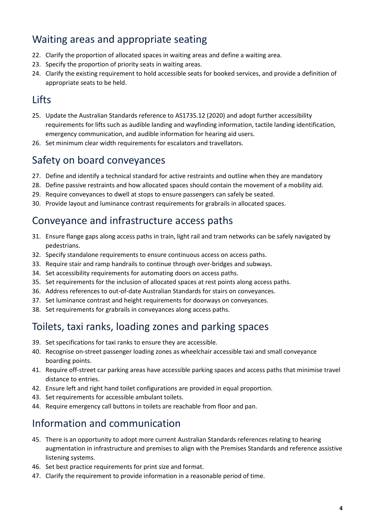#### Waiting areas and appropriate seating

- 22. Clarify the proportion of allocated spaces in waiting areas and define a waiting area.
- 23. Specify the proportion of priority seats in waiting areas.
- 24. Clarify the existing requirement to hold accessible seats for booked services, and provide a definition of appropriate seats to be held.

## Lifts

- 25. Update the Australian Standards reference to AS1735.12 (2020) and adopt further accessibility requirements for lifts such as audible landing and wayfinding information, tactile landing identification, emergency communication, and audible information for hearing aid users.
- 26. Set minimum clear width requirements for escalators and travellators.

#### Safety on board conveyances

- 27. Define and identify a technical standard for active restraints and outline when they are mandatory
- 28. Define passive restraints and how allocated spaces should contain the movement of a mobility aid.
- 29. Require conveyances to dwell at stops to ensure passengers can safely be seated.
- 30. Provide layout and luminance contrast requirements for grabrails in allocated spaces.

#### Conveyance and infrastructure access paths

- 31. Ensure flange gaps along access paths in train, light rail and tram networks can be safely navigated by pedestrians.
- 32. Specify standalone requirements to ensure continuous access on access paths.
- 33. Require stair and ramp handrails to continue through over-bridges and subways.
- 34. Set accessibility requirements for automating doors on access paths.
- 35. Set requirements for the inclusion of allocated spaces at rest points along access paths.
- 36. Address references to out-of-date Australian Standards for stairs on conveyances.
- 37. Set luminance contrast and height requirements for doorways on conveyances.
- 38. Set requirements for grabrails in conveyances along access paths.

#### Toilets, taxi ranks, loading zones and parking spaces

- 39. Set specifications for taxi ranks to ensure they are accessible.
- 40. Recognise on-street passenger loading zones as wheelchair accessible taxi and small conveyance boarding points.
- 41. Require off-street car parking areas have accessible parking spaces and access paths that minimise travel distance to entries.
- 42. Ensure left and right hand toilet configurations are provided in equal proportion.
- 43. Set requirements for accessible ambulant toilets.
- 44. Require emergency call buttons in toilets are reachable from floor and pan.

#### Information and communication

- 45. There is an opportunity to adopt more current Australian Standards references relating to hearing augmentation in infrastructure and premises to align with the Premises Standards and reference assistive listening systems.
- 46. Set best practice requirements for print size and format.
- 47. Clarify the requirement to provide information in a reasonable period of time.